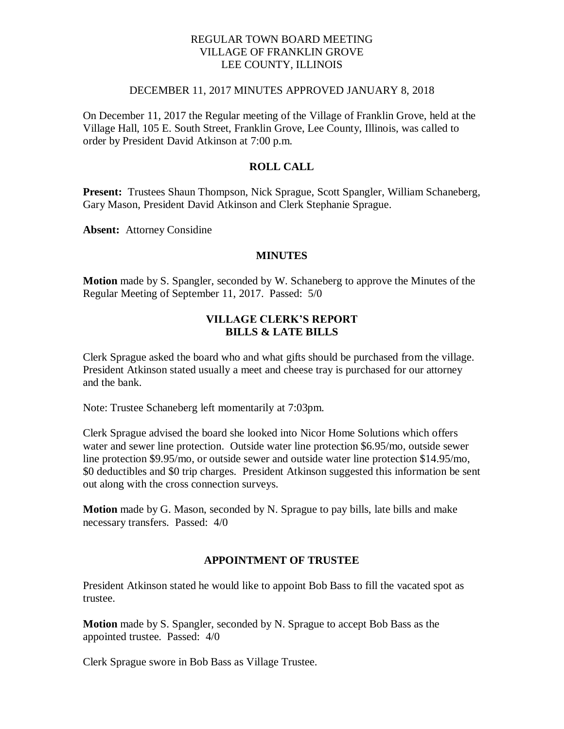# REGULAR TOWN BOARD MEETING VILLAGE OF FRANKLIN GROVE LEE COUNTY, ILLINOIS

#### DECEMBER 11, 2017 MINUTES APPROVED JANUARY 8, 2018

On December 11, 2017 the Regular meeting of the Village of Franklin Grove, held at the Village Hall, 105 E. South Street, Franklin Grove, Lee County, Illinois, was called to order by President David Atkinson at 7:00 p.m.

# **ROLL CALL**

**Present:** Trustees Shaun Thompson, Nick Sprague, Scott Spangler, William Schaneberg, Gary Mason, President David Atkinson and Clerk Stephanie Sprague.

**Absent:** Attorney Considine

#### **MINUTES**

**Motion** made by S. Spangler, seconded by W. Schaneberg to approve the Minutes of the Regular Meeting of September 11, 2017. Passed: 5/0

### **VILLAGE CLERK'S REPORT BILLS & LATE BILLS**

Clerk Sprague asked the board who and what gifts should be purchased from the village. President Atkinson stated usually a meet and cheese tray is purchased for our attorney and the bank.

Note: Trustee Schaneberg left momentarily at 7:03pm.

Clerk Sprague advised the board she looked into Nicor Home Solutions which offers water and sewer line protection. Outside water line protection \$6.95/mo, outside sewer line protection \$9.95/mo, or outside sewer and outside water line protection \$14.95/mo, \$0 deductibles and \$0 trip charges. President Atkinson suggested this information be sent out along with the cross connection surveys.

**Motion** made by G. Mason, seconded by N. Sprague to pay bills, late bills and make necessary transfers. Passed: 4/0

#### **APPOINTMENT OF TRUSTEE**

President Atkinson stated he would like to appoint Bob Bass to fill the vacated spot as trustee.

**Motion** made by S. Spangler, seconded by N. Sprague to accept Bob Bass as the appointed trustee. Passed: 4/0

Clerk Sprague swore in Bob Bass as Village Trustee.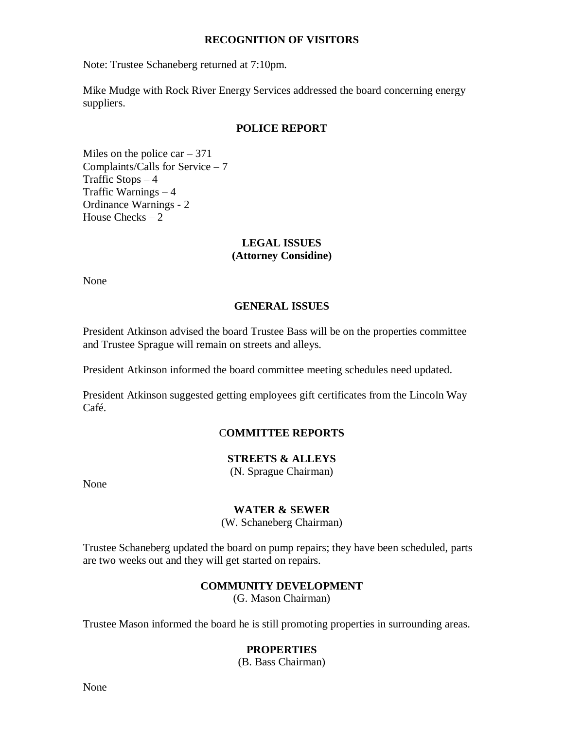#### **RECOGNITION OF VISITORS**

Note: Trustee Schaneberg returned at 7:10pm.

Mike Mudge with Rock River Energy Services addressed the board concerning energy suppliers.

#### **POLICE REPORT**

Miles on the police  $car - 371$ Complaints/Calls for Service – 7 Traffic Stops  $-4$ Traffic Warnings – 4 Ordinance Warnings - 2 House Checks  $-2$ 

### **LEGAL ISSUES (Attorney Considine)**

None

# **GENERAL ISSUES**

President Atkinson advised the board Trustee Bass will be on the properties committee and Trustee Sprague will remain on streets and alleys.

President Atkinson informed the board committee meeting schedules need updated.

President Atkinson suggested getting employees gift certificates from the Lincoln Way Café.

# C**OMMITTEE REPORTS**

# **STREETS & ALLEYS**

(N. Sprague Chairman)

None

#### **WATER & SEWER**

(W. Schaneberg Chairman)

Trustee Schaneberg updated the board on pump repairs; they have been scheduled, parts are two weeks out and they will get started on repairs.

# **COMMUNITY DEVELOPMENT**

(G. Mason Chairman)

Trustee Mason informed the board he is still promoting properties in surrounding areas.

# **PROPERTIES**

(B. Bass Chairman)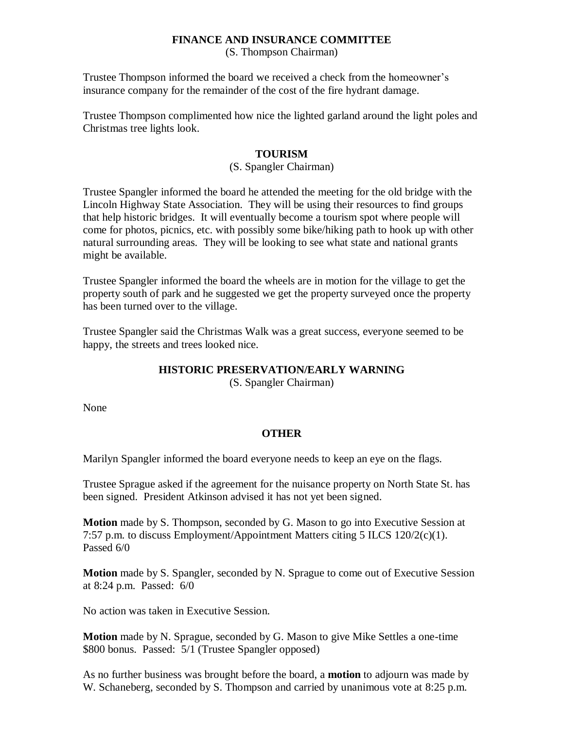# **FINANCE AND INSURANCE COMMITTEE**

(S. Thompson Chairman)

Trustee Thompson informed the board we received a check from the homeowner's insurance company for the remainder of the cost of the fire hydrant damage.

Trustee Thompson complimented how nice the lighted garland around the light poles and Christmas tree lights look.

# **TOURISM**

### (S. Spangler Chairman)

Trustee Spangler informed the board he attended the meeting for the old bridge with the Lincoln Highway State Association. They will be using their resources to find groups that help historic bridges. It will eventually become a tourism spot where people will come for photos, picnics, etc. with possibly some bike/hiking path to hook up with other natural surrounding areas. They will be looking to see what state and national grants might be available.

Trustee Spangler informed the board the wheels are in motion for the village to get the property south of park and he suggested we get the property surveyed once the property has been turned over to the village.

Trustee Spangler said the Christmas Walk was a great success, everyone seemed to be happy, the streets and trees looked nice.

# **HISTORIC PRESERVATION/EARLY WARNING**

(S. Spangler Chairman)

None

# **OTHER**

Marilyn Spangler informed the board everyone needs to keep an eye on the flags.

Trustee Sprague asked if the agreement for the nuisance property on North State St. has been signed. President Atkinson advised it has not yet been signed.

**Motion** made by S. Thompson, seconded by G. Mason to go into Executive Session at 7:57 p.m. to discuss Employment/Appointment Matters citing 5 ILCS 120/2(c)(1). Passed 6/0

**Motion** made by S. Spangler, seconded by N. Sprague to come out of Executive Session at 8:24 p.m. Passed: 6/0

No action was taken in Executive Session.

**Motion** made by N. Sprague, seconded by G. Mason to give Mike Settles a one-time \$800 bonus. Passed: 5/1 (Trustee Spangler opposed)

As no further business was brought before the board, a **motion** to adjourn was made by W. Schaneberg, seconded by S. Thompson and carried by unanimous vote at 8:25 p.m.